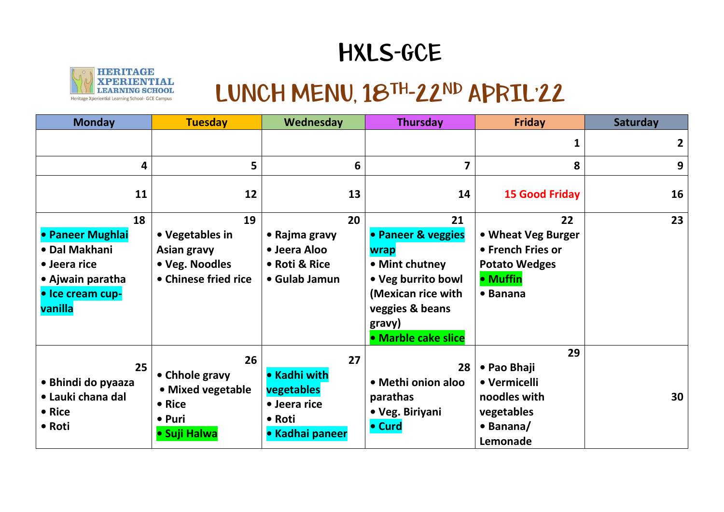## HXLS-GCE



## LUNCH MENU, 18TH-22ND APRIL'22

| <b>Monday</b>                                                                                              | <b>Tuesday</b>                                                                 | Wednesday                                                                     | <b>Thursday</b>                                                                                                                                    | <b>Friday</b>                                                                                         | <b>Saturday</b> |
|------------------------------------------------------------------------------------------------------------|--------------------------------------------------------------------------------|-------------------------------------------------------------------------------|----------------------------------------------------------------------------------------------------------------------------------------------------|-------------------------------------------------------------------------------------------------------|-----------------|
|                                                                                                            |                                                                                |                                                                               |                                                                                                                                                    | 1                                                                                                     | $\mathbf{2}$    |
| 4                                                                                                          | 5                                                                              | 6                                                                             | $\overline{\mathbf{z}}$                                                                                                                            | 8                                                                                                     | 9               |
| 11                                                                                                         | 12                                                                             | 13                                                                            | 14                                                                                                                                                 | <b>15 Good Friday</b>                                                                                 | 16              |
| 18<br>• Paneer Mughlai<br>• Dal Makhani<br>• Jeera rice<br>• Ajwain paratha<br>· Ice cream cup-<br>vanilla | 19<br>• Vegetables in<br>Asian gravy<br>• Veg. Noodles<br>• Chinese fried rice | 20<br>• Rajma gravy<br>• Jeera Aloo<br>• Roti & Rice<br>• Gulab Jamun         | 21<br>• Paneer & veggies<br>wrap<br>• Mint chutney<br>• Veg burrito bowl<br>(Mexican rice with<br>veggies & beans<br>gravy)<br>· Marble cake slice | 22<br>• Wheat Veg Burger<br>• French Fries or<br><b>Potato Wedges</b><br>• Muffin<br>$\bullet$ Banana | 23              |
| 25<br>• Bhindi do pyaaza<br>• Lauki chana dal<br>• Rice<br>• Roti                                          | 26<br>• Chhole gravy<br>• Mixed vegetable<br>• Rice<br>• Puri<br>• Suji Halwa  | 27<br>• Kadhi with<br>vegetables<br>• Jeera rice<br>• Roti<br>• Kadhai paneer | 28<br>• Methi onion aloo<br>parathas<br>• Veg. Biriyani<br>• Curd                                                                                  | 29<br>• Pao Bhaji<br>• Vermicelli<br>noodles with<br>vegetables<br>$\bullet$ Banana/<br>Lemonade      | 30              |